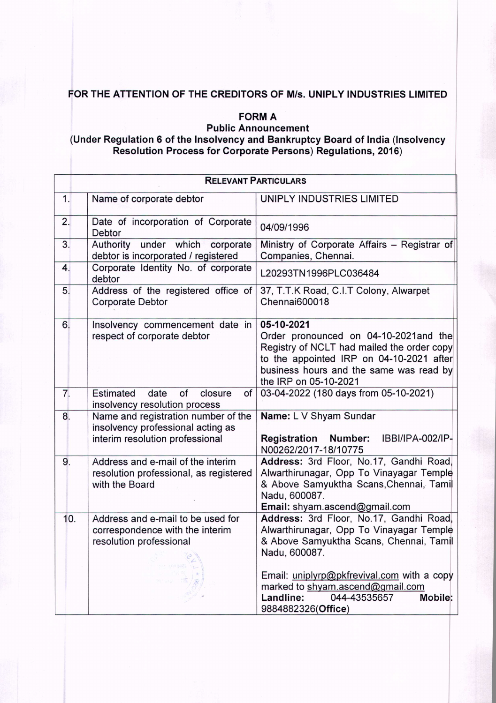## FOR THE ATTENTION OF THE CREDITORS OF M/s. UNIPLY INDUSTRIES LIMITED

## **FORM A**

Public Announcement

## (Under Regulation 6 of the Insolvency and Bankruptcy Board of India (Insolvency Resolution Process for Corporate Persons) Regulations, 2016)

| <b>RELEVANT PARTICULARS</b> |                                                                                                             |                                                                                                                                                                                                                                                                                                 |
|-----------------------------|-------------------------------------------------------------------------------------------------------------|-------------------------------------------------------------------------------------------------------------------------------------------------------------------------------------------------------------------------------------------------------------------------------------------------|
| 1.                          | Name of corporate debtor                                                                                    | UNIPLY INDUSTRIES LIMITED                                                                                                                                                                                                                                                                       |
| 2.                          | Date of incorporation of Corporate<br>Debtor                                                                | 04/09/1996                                                                                                                                                                                                                                                                                      |
| 3.                          | Authority under which<br>corporate<br>debtor is incorporated / registered                                   | Ministry of Corporate Affairs - Registrar of<br>Companies, Chennai.                                                                                                                                                                                                                             |
| 4.                          | Corporate Identity No. of corporate<br>debtor                                                               | L20293TN1996PLC036484                                                                                                                                                                                                                                                                           |
| 5.                          | Address of the registered office of<br><b>Corporate Debtor</b>                                              | 37, T.T.K Road, C.I.T Colony, Alwarpet<br>Chennai600018                                                                                                                                                                                                                                         |
| 6.                          | Insolvency commencement date in<br>respect of corporate debtor                                              | 05-10-2021<br>Order pronounced on 04-10-2021 and the<br>Registry of NCLT had mailed the order copy<br>to the appointed IRP on 04-10-2021 after<br>business hours and the same was read by<br>the IRP on 05-10-2021                                                                              |
| 7.                          | of<br>Estimated<br>date<br>of<br>closure<br>insolvency resolution process                                   | 03-04-2022 (180 days from 05-10-2021)                                                                                                                                                                                                                                                           |
| 8.                          | Name and registration number of the<br>insolvency professional acting as<br>interim resolution professional | Name: L V Shyam Sundar<br>IBBI/IPA-002/IP-<br><b>Registration Number:</b><br>N00262/2017-18/10775                                                                                                                                                                                               |
| 9.                          | Address and e-mail of the interim<br>resolution professional, as registered<br>with the Board               | Address: 3rd Floor, No.17, Gandhi Road,<br>Alwarthirunagar, Opp To Vinayagar Temple<br>& Above Samyuktha Scans, Chennai, Tamil<br>Nadu, 600087.<br>Email: shyam.ascend@gmail.com                                                                                                                |
| 10.                         | Address and e-mail to be used for<br>correspondence with the interim<br>resolution professional             | Address: 3rd Floor, No.17, Gandhi Road,<br>Alwarthirunagar, Opp To Vinayagar Temple<br>& Above Samyuktha Scans, Chennai, Tamil<br>Nadu, 600087.<br>Email: uniplyrp@pkfrevival.com with a copy<br>marked to shyam.ascend@gmail.com<br>044-43535657<br>Mobile:<br>Landline:<br>9884882326(Office) |